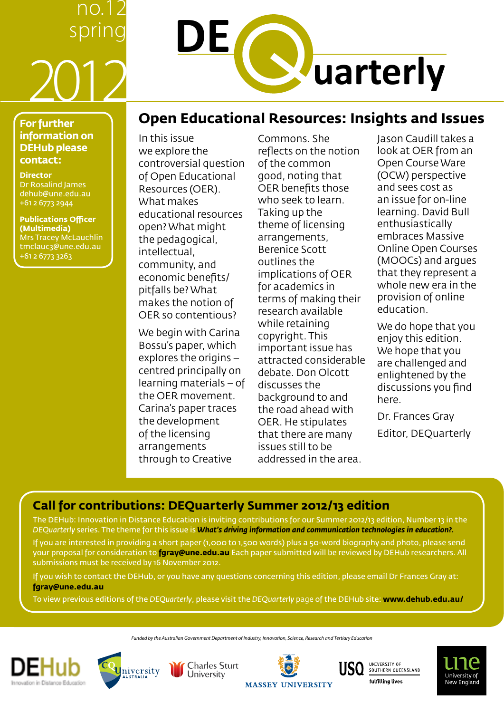## no.12 spring 2012

# **DE Warterly**

## **Open Educational Resources: Insights and Issues**

## **For further information on DEHub please contact:**

**Director** Dr Rosalind James [dehub@une.edu.au](mailto:dehub@une.edu.au) +61 2 6773 2944

**Publications Officer (Multimedia)** Mrs Tracey McLauchlin [tmclauc3@une.edu.au](mailto:tmclauc3@une.edu.au) +61 2 6773 3263

In this issue we explore the controversial question of Open Educational Resources (OER). What makes educational resources open? What might the pedagogical, intellectual, community, and economic benefits/ pitfalls be? What makes the notion of OER so contentious?

We begin with Carina Bossu's paper, which explores the origins – centred principally on learning materials – of the OER movement. Carina's paper traces the development of the licensing arrangements through to Creative

Commons. She reflects on the notion of the common good, noting that OER benefits those who seek to learn. Taking up the theme of licensing arrangements, Berenice Scott outlines the implications of OER for academics in terms of making their research available while retaining copyright. This important issue has attracted considerable debate. Don Olcott discusses the background to and the road ahead with OER. He stipulates that there are many issues still to be addressed in the area.

Jason Caudill takes a look at OER from an Open Course Ware (OCW) perspective and sees cost as an issue for on-line learning. David Bull enthusiastically embraces Massive Online Open Courses (MOOCs) and argues that they represent a whole new era in the provision of online education.

We do hope that you enjoy this edition. We hope that you are challenged and enlightened by the discussions you find here.

Dr. Frances Gray Editor, DEQuarterly

## **Call for contributions: DEQuarterly Summer 2012/13 edition**

The DEHub: Innovation in Distance Education is inviting contributions for our Summer 2012/13 edition, Number 13 in the *DEQuarterly* series. The theme for this issue is *What's driving information and communication technologies in education?.*

If you are interested in providing a short paper (1,000 to 1,500 words) plus a 50-word biography and photo, please send your proposal for consideration to **[fgray@une.edu.au](mailto:fgray@une.edu.au)** Each paper submitted will be reviewed by DEHub researchers. All submissions must be received by 16 November 2012.

If you wish to contact the DEHub, or you have any questions concerning this edition, please email Dr Frances Gray at: **[fgray@une.edu.au](mailto:fgray@une.edu.au)**

To view previous editions of the *DEQuarterly*, please visit the *DEQuarterly* page of the DEHub site: **<www.dehub.edu.au>/**

*Funded by the Australian Government Department of Industry, Innovation, Science, Research and Tertiary Education*





**Charles Sturt** University







**MASSEY UNIVERSITY**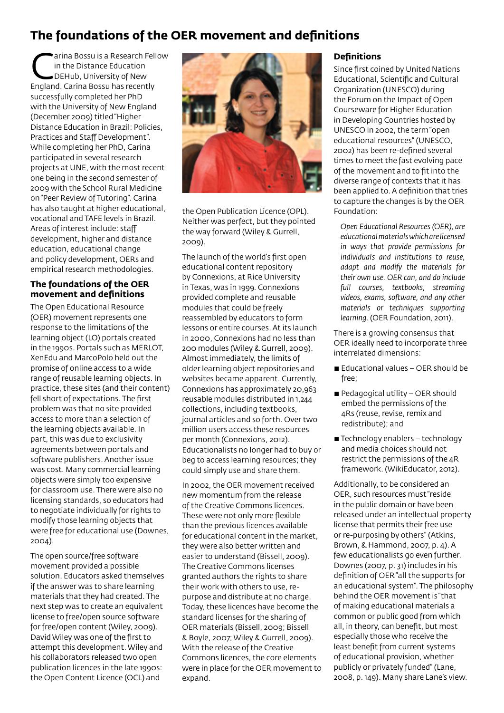## **The foundations of the OER movement and definitions**

arina Bossu is a Research Fellow in the Distance Education DEHub, University of New England. Carina Bossu has recently successfully completed her PhD with the University of New England (December 2009) titled "Higher Distance Education in Brazil: Policies, Practices and Staff Development". While completing her PhD, Carina participated in several research projects at UNE, with the most recent one being in the second semester of 2009 with the School Rural Medicine on "Peer Review of Tutoring". Carina has also taught at higher educational, vocational and TAFE levels in Brazil. Areas of interest include: staff development, higher and distance education, educational change and policy development, OERs and empirical research methodologies.

## **The foundations of the OER movement and definitions**

The Open Educational Resource (OER) movement represents one response to the limitations of the learning object (LO) portals created in the 1990s. Portals such as MERLOT, XenEdu and MarcoPolo held out the promise of online access to a wide range of reusable learning objects. In practice, these sites (and their content) fell short of expectations. The first problem was that no site provided access to more than a selection of the learning objects available. In part, this was due to exclusivity agreements between portals and software publishers. Another issue was cost. Many commercial learning objects were simply too expensive for classroom use. There were also no licensing standards, so educators had to negotiate individually for rights to modify those learning objects that were free for educational use (Downes, 2004).

The open source/free software movement provided a possible solution. Educators asked themselves if the answer was to share learning materials that they had created. The next step was to create an equivalent license to free/open source software for free/open content (Wiley, 2009). David Wiley was one of the first to attempt this development. Wiley and his collaborators released two open publication licences in the late 1990s: the Open Content Licence (OCL) and



the Open Publication Licence (OPL). Neither was perfect, but they pointed the way forward (Wiley & Gurrell, 2009).

The launch of the world's first open educational content repository by Connexions, at Rice University in Texas, was in 1999. Connexions provided complete and reusable modules that could be freely reassembled by educators to form lessons or entire courses. At its launch in 2000, Connexions had no less than 200 modules (Wiley & Gurrell, 2009). Almost immediately, the limits of older learning object repositories and websites became apparent. Currently, Connexions has approximately 20,963 reusable modules distributed in 1,244 collections, including textbooks, journal articles and so forth. Over two million users access these resources per month (Connexions, 2012). Educationalists no longer had to buy or beg to access learning resources; they could simply use and share them.

In 2002, the OER movement received new momentum from the release of the Creative Commons licences. These were not only more flexible than the previous licences available for educational content in the market, they were also better written and easier to understand (Bissell, 2009). The Creative Commons licenses granted authors the rights to share their work with others to use, repurpose and distribute at no charge. Today, these licences have become the standard licenses for the sharing of OER materials (Bissell, 2009; Bissell & Boyle, 2007; Wiley & Gurrell, 2009). With the release of the Creative Commons licences, the core elements were in place for the OER movement to expand.

## **Definitions**

Since first coined by United Nations Educational, Scientific and Cultural Organization (UNESCO) during the Forum on the Impact of Open Courseware for Higher Education in Developing Countries hosted by UNESCO in 2002, the term "open educational resources" (UNESCO, 2002) has been re-defined several times to meet the fast evolving pace of the movement and to fit into the diverse range of contexts that it has been applied to. A definition that tries to capture the changes is by the OER Foundation:

*Open Educational Resources (OER), are educational materials which are licensed in ways that provide permissions for individuals and institutions to reuse, adapt and modify the materials for their own use. OER can, and do include full courses, textbooks, streaming videos, exams, software, and any other materials or techniques supporting learning.* (OER Foundation, 2011).

There is a growing consensus that OER ideally need to incorporate three interrelated dimensions:

- $\blacksquare$  Educational values OER should be free;
- **Pedagogical utility OER should** embed the permissions of the 4Rs (reuse, revise, remix and redistribute); and
- $\blacksquare$  Technology enablers technology and media choices should not restrict the permissions of the 4R framework. (WikiEducator, 2012).

Additionally, to be considered an OER, such resources must "reside in the public domain or have been released under an intellectual property license that permits their free use or re-purposing by others" (Atkins, Brown, & Hammond, 2007, p. 4). A few educationalists go even further. Downes (2007, p. 31) includes in his definition of OER "all the supports for an educational system". The philosophy behind the OER movement is "that of making educational materials a common or public good from which all, in theory, can benefit, but most especially those who receive the least benefit from current systems of educational provision, whether publicly or privately funded" (Lane, 2008, p. 149). Many share Lane's view.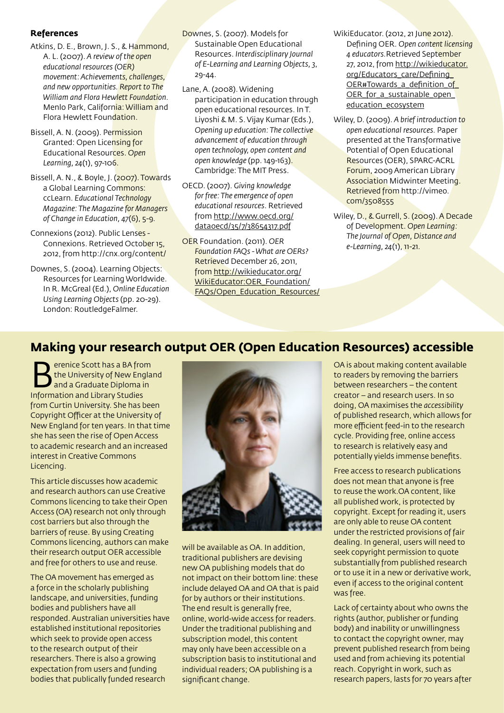### **References**

- Atkins, D. E., Brown, J. S., & Hammond, A. L. (2007). *A review of the open educational resources (OER) movement: Achievements, challenges, and new opportunities. Report to The William and Flora Hewlett Foundation.* Menlo Park, California: William and Flora Hewlett Foundation.
- Bissell, A. N. (2009). Permission Granted: Open Licensing for Educational Resources. *Open Learning, 24*(1), 97-106.
- Bissell, A. N., & Boyle, J. (2007). Towards a Global Learning Commons: ccLearn. *Educational Technology Magazine: The Magazine for Managers of Change in Education, 47*(6), 5-9.
- Connexions (2012). Public Lenses Connexions. Retrieved October 15, 2012, from [http://cnx.org/content/](http://cnx.org/content)
- Downes, S. (2004). Learning Objects: Resources for Learning Worldwide. In R. McGreal (Ed.), *Online Education Using Learning Objects* (pp. 20-29). London: RoutledgeFalmer.
- Downes, S. (2007). Models for Sustainable Open Educational Resources. *Interdisciplinary Journal of E-Learning and Learning Objects, 3*, 29-44.
- Lane, A. (2008). Widening participation in education through open educational resources. In T. Liyoshi & M. S. Vijay Kumar (Eds.), *Opening up education: The collective advancement of education through open technology, open content and open knowledge* (pp. 149-163). Cambridge: The MIT Press.
- OECD. (2007). *Giving knowledge for free: The emergence of open educational resources*. Retrieved from [http://www.oecd.org/](http://www.oecd.org/dataoecd/35/7/38654317.pdf) [dataoecd/35/7/38654317.pdf](http://www.oecd.org/dataoecd/35/7/38654317.pdf)
- OER Foundation. (2011). *OER Foundation FAQs - What are OERs?* Retrieved December 26, 2011, from [http://wikieducator.org/](http://wikieducator.org/WikiEducator:OER_Foundation/FAQs/Open_Education_Resources/) [WikiEducator:OER\\_Foundation/](http://wikieducator.org/WikiEducator:OER_Foundation/FAQs/Open_Education_Resources/) [FAQs/Open\\_Education\\_Resources/](http://wikieducator.org/WikiEducator:OER_Foundation/FAQs/Open_Education_Resources/)
- WikiEducator. (2012, 21 June 2012). Defining OER. *Open content licensing 4 educators.*[Retrieved](educators.Retrieved) September 27, 2012, from http://wikieducator. org/Educators\_care/Defining\_ OER#Towards\_a\_definition\_of OER for a sustainable open education\_ecosystem
- Wiley, D. (2009). *A brief introduction to open educational resources.* Paper presented at the Transformative Potential of Open Educational Resources (OER), SPARC-ACRL Forum, 2009 American Library Association Midwinter Meeting. Retrieved from [http://vimeo.](http://vimeo.com/3508555) [com/3508555](http://vimeo.com/3508555)
- Wiley, D., & Gurrell, S. (2009). A Decade of Development. *Open Learning: The Journal of Open, Distance and e-Learning, 24*(1), 11-21.

## **Making your research output OER (Open Education Resources) accessible**

erenice Scott has a BA from the University of New England and a Graduate Diploma in Information and Library Studies from Curtin University. She has been Copyright Officer at the University of New England for ten years. In that time she has seen the rise of Open Access to academic research and an increased interest in Creative Commons Licencing.

This article discusses how academic and research authors can use Creative Commons licencing to take their Open Access (OA) research not only through cost barriers but also through the barriers of reuse. By using Creating Commons licencing, authors can make their research output OER accessible and free for others to use and reuse.

The OA movement has emerged as a force in the scholarly publishing landscape, and universities, funding bodies and publishers have all responded. Australian universities have established institutional repositories which seek to provide open access to the research output of their researchers. There is also a growing expectation from users and funding bodies that publically funded research



will be available as OA. In addition, traditional publishers are devising new OA publishing models that do not impact on their bottom line: these include delayed OA and OA that is paid for by authors or their institutions. The end result is generally free, online, world-wide access for readers. Under the traditional publishing and subscription model, this content may only have been accessible on a subscription basis to institutional and individual readers; OA publishing is a significant change.

OA is about making content available to readers by removing the barriers between researchers – the content creator – and research users. In so doing, OA maximises the *accessibility* of published research, which allows for more efficient feed-in to the research cycle. Providing free, online access to research is relatively easy and potentially yields immense benefits.

Free access to research publications does not mean that anyone is free to reuse the<work.OA>content, like all published work, is protected by copyright. Except for reading it, users are only able to reuse OA content under the restricted provisions of fair dealing. In general, users will need to seek copyright permission to quote substantially from published research or to use it in a new or derivative work, even if access to the original content was free.

Lack of certainty about who owns the rights (author, publisher or funding body) and inability or unwillingness to contact the copyright owner, may prevent published research from being used and from achieving its potential reach. Copyright in work, such as research papers, lasts for 70 years after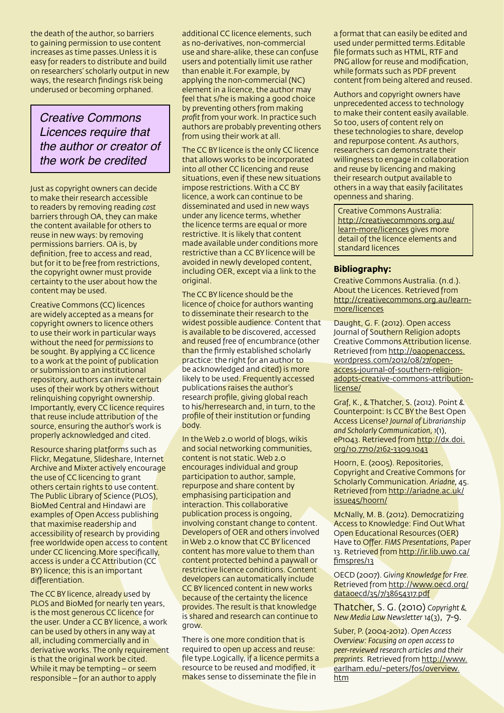the death of the author, so barriers to gaining permission to use content increases as time <passes.Unless>it is easy for readers to distribute and build on researchers' scholarly output in new ways, the research findings risk being underused or becoming orphaned.

## *Creative Commons Licences require that the author or creator of the work be credited*

Just as copyright owners can decide to make their research accessible to readers by removing reading *cost* barriers through OA, they can make the content available for others to reuse in new ways: by removing permissions barriers. OA is, by definition, free to access and read, but for it to be free from restrictions, the copyright owner must provide certainty to the user about how the content may be used.

Creative Commons (CC) licences are widely accepted as a means for copyright owners to licence others to use their work in particular ways without the need for *permissions* to be sought. By applying a CC licence to a work at the point of publication or submission to an institutional repository, authors can invite certain uses of their work by others without relinquishing copyright ownership. Importantly, every CC licence requires that reuse include attribution of the source, ensuring the author's work is properly acknowledged and cited.

Resource sharing platforms such as Flickr, Megatune, Slideshare, Internet Archive and Mixter actively encourage the use of CC licencing to grant others certain rights to use content. The Public Library of Science (PLOS), BioMed Central and Hindawi are examples of Open Access publishing that maximise readership and accessibility of research by providing free worldwide open access to content under CC<licencing.More> specifically, access is under a CC Attribution (CC BY) licence; this is an important differentiation.

The CC BY licence, already used by PLOS and BioMed for nearly ten years, is the most generous CC licence for the user. Under a CC BY licence, a work can be used by others in any way at all, including commercially and in derivative works. The only requirement is that the original work be cited. While it may be tempting – or seem responsible – for an author to apply

additional CC licence elements, such as no-derivatives, non-commercial use and share-alike, these can confuse users and potentially limit use rather than enable<it.For> example, by applying the non-commercial (NC) element in a licence, the author may feel that s/he is making a good choice by preventing others from making *profit* from your work. In practice such authors are probably preventing others from using their work at all.

The CC BY licence is the only CC licence that allows works to be incorporated into *all* other CC licencing and reuse situations, even if these new situations impose restrictions. With a CC BY licence, a work can continue to be disseminated and used in new ways under any licence terms, whether the licence terms are equal or more restrictive. It is likely that content made available under conditions more restrictive than a CC BY licence will be avoided in newly developed content, including OER, except via a link to the original.

The CC BY licence should be the licence of choice for authors wanting to disseminate their research to the widest possible audience. Content that is available to be discovered, accessed and reused free of encumbrance (other than the firmly established scholarly practice: the right for an author to be acknowledged and cited) is more likely to be used. Frequently accessed publications raises the author's research profile, giving global reach to his/herresearch and, in turn, to the profile of their institution or funding body.

In the Web 2.0 world of blogs, wikis and social networking communities, content is not static. Web 2.0 encourages individual and group participation to author, sample, repurpose and share content by emphasising participation and interaction. This collaborative publication process is ongoing, involving constant change to content. Developers of OER and others involved in Web 2.0 know that CC BY licenced content has more value to them than content protected behind a paywall or restrictive licence conditions. Content developers can automatically include CC BY licenced content in new works because of the certainty the licence provides. The result is that knowledge is shared and research can continue to grow.

There is one more condition that is required to open up access and reuse: file type. Logically, if a licence permits a resource to be reused and modified, it makes sense to disseminate the file in

a format that can easily be edited and used under permitted<terms.Editable> file formats such as HTML, RTF and PNG allow for reuse and modification, while formats such as PDF prevent content from being altered and reused.

Authors and copyright owners have unprecedented access to technology to make their content easily available. So too, users of content rely on these technologies to share, develop and repurpose content. As authors, researchers can demonstrate their willingness to engage in collaboration and reuse by licencing and making their research output available to others in a way that easily facilitates openness and sharing.

Creative Commons Australia: [http://creativecommons.org.au/](http://creativecommons.org.a/learn-more/licences) [learn-more/licences](http://creativecommons.org.a/learn-more/licences) gives more detail of the licence elements and standard licences

#### **Bibliography:**

Creative Commons Australia. (n.d.). About the Licences. Retrieved from [http://creativecommons.org.au/learn](http://creativecommons.org.au/learn-more/licences)[more/licences](http://creativecommons.org.au/learn-more/licences)

Daught, G. F. (2012). Open access Journal of Southern Religion adopts Creative Commons Attribution license. Retrieved from [http://oaopenaccess.](http://oaopenaccess.wordpress.com/2012/08/27/open-access-journal-of-southern-religion-adopts-creative-commons-attribution-license/) [wordpress.com/2012/08/27/open](http://oaopenaccess.wordpress.com/2012/08/27/open-access-journal-of-southern-religion-adopts-creative-commons-attribution-license/)[access-journal-of-southern-religion](http://oaopenaccess.wordpress.com/2012/08/27/open-access-journal-of-southern-religion-adopts-creative-commons-attribution-license/)[adopts-creative-commons-attribution](http://oaopenaccess.wordpress.com/2012/08/27/open-access-journal-of-southern-religion-adopts-creative-commons-attribution-license/)[license/](http://oaopenaccess.wordpress.com/2012/08/27/open-access-journal-of-southern-religion-adopts-creative-commons-attribution-license/)

Graf, K., & Thatcher, S. (2012). Point & Counterpoint: Is CC BY the Best Open Access License? *Journal of Librarianship and Scholarly Communication, 1*(1), eP1043. Retrieved from [http://dx.doi.](http://dx.doi.org/10.7710/2162-3309.1043) [org/10.7710/2162-3309.1043](http://dx.doi.org/10.7710/2162-3309.1043)

Hoorn, E. (2005). Repositories, Copyright and Creative Commons for Scholarly Communication. *Ariadne,* 45. Retrieved from [http://ariadne.ac.uk/](http://ariadne.ac.uk/issue45/hoorn/) [issue45/hoorn/](http://ariadne.ac.uk/issue45/hoorn/)

McNally, M. B. (2012). Democratizing Access to Knowledge: Find Out What Open Educational Resources (OER) Have to Offer. *FIMS Presentations,* Paper 13. Retrieved from [http://ir.lib.uwo.ca/](http://ir.lib.uwo.ca/fimspres/13) [fimspres/13](http://ir.lib.uwo.ca/fimspres/13)

OECD (2007). *Giving Knowledge for Free.* Retrieved from [http://www.oecd.org/](http://www.oecd.org/dataoecd/35/7/38654317.pdf) [dataoecd/35/7/38654317.pdf](http://www.oecd.org/dataoecd/35/7/38654317.pdf)

Thatcher, S. G. (201[0\)](http://search.proquest.com/indexingvolumeissuelinkhandler/44187/Copyright+$26+New+Media+Law+Newsletter/02010Y07Y01$232010$3b++Vol.+14+$283$29/14/3?accountid=17227) *Copyright & New Media Law Newsletter 14*(3)[,](http://search.proquest.com/indexingvolumeissuelinkhandler/44187/Copyright+$26+New+Media+Law+Newsletter/02010Y07Y01$232010$3b++Vol.+14+$283$29/14/3?accountid=17227) 7-9.

Suber, P. (2004-2012). *Open Access Overview: Focusing on open access to peer-reviewed research articles and their preprints.* Retrieved from [http://www.](http://www.earlham.edu/~peters/fos/overview.htm) [earlham.edu/~peters/fos/overview.](http://www.earlham.edu/~peters/fos/overview.htm) [htm](http://www.earlham.edu/~peters/fos/overview.htm)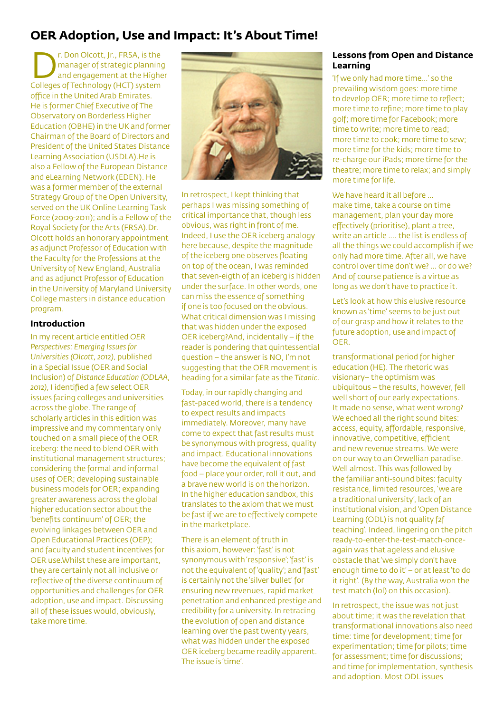## **OER Adoption, Use and Impact: It's About Time!**

The Dealer Contact Contact Contact Contact Contact Contact Contact Contact Contact Contact Contact Contact Contact Contact Contact Contact Contact Contact Contact Contact Contact Contact Contact Contact Contact Contact Con manager of strategic planning and engagement at the Higher Colleges of Technology (HCT) system office in the United Arab Emirates. He is former Chief Executive of The Observatory on Borderless Higher Education (OBHE) in the UK and former Chairman of the Board of Directors and President of the United States Distance Learning Association (USDLA).He is also a Fellow of the European Distance and eLearning Network (EDEN). He was a former member of the external Strategy Group of the Open University, served on the UK Online Learning Task Force (2009-2011); and is a Fellow of the Royal Society for the Arts (FRSA).Dr. Olcott holds an honorary appointment as adjunct Professor of Education with the Faculty for the Professions at the University of New England, Australia and as adjunct Professor of Education in the University of Maryland University College masters in distance education program.

#### **Introduction**

In my recent article entitled *OER Perspectives: Emerging Issues for Universities (Olcott, 2012)*, published in a Special Issue (OER and Social Inclusion) of *Distance Education (ODLAA, 2012)*, I identified a few select OER issues facing colleges and universities across the globe. The range of scholarly articles in this edition was impressive and my commentary only touched on a small piece of the OER iceberg: the need to blend OER with institutional management structures; considering the formal and informal uses of OER; developing sustainable business models for OER; expanding greater awareness across the global higher education sector about the 'benefits continuum' of OER; the evolving linkages between OER and Open Educational Practices (OEP); and faculty and student incentives for OER <use.Whilst>these are important, they are certainly not all inclusive or reflective of the diverse continuum of opportunities and challenges for OER adoption, use and impact. Discussing all of these issues would, obviously, take more time.



In retrospect, I kept thinking that perhaps I was missing something of critical importance that, though less obvious, was right in front of me. Indeed, I use the OER iceberg analogy here because, despite the magnitude of the iceberg one observes floating on top of the ocean, I was reminded that seven-eigth of an iceberg is hidden under the surface. In other words, one can miss the essence of something if one is too focused on the obvious. What critical dimension was I missing that was hidden under the exposed OER iceberg?And, incidentally – if the reader is pondering that quintessential question – the answer is NO, I'm not suggesting that the OER movement is heading for a similar fate as the *Titanic*.

Today, in our rapidly changing and fast-paced world, there is a tendency to expect results and impacts immediately. Moreover, many have come to expect that fast results must be synonymous with progress, quality and impact. Educational innovations have become the equivalent of fast food – place your order, roll it out, and a brave new world is on the horizon. In the higher education sandbox, this translates to the axiom that we must be fast if we are to effectively compete in the marketplace.

There is an element of truth in this axiom, however: 'fast' is not synonymous with 'responsive'; 'fast' is not the equivalent of 'quality'; and 'fast' is certainly not the 'silver bullet' for ensuring new revenues, rapid market penetration and enhanced prestige and credibility for a university. In retracing the evolution of open and distance learning over the past twenty years, what was hidden under the exposed OER iceberg became readily apparent. The issue is 'time'.

#### **Lessons from Open and Distance Learning**

'If we only had more time…' so the prevailing wisdom goes: more time to develop OER; more time to reflect; more time to refine; more time to play golf; more time for Facebook; more time to write; more time to read; more time to cook; more time to sew; more time for the kids; more time to re-charge our iPads; more time for the theatre; more time to relax; and simply more time for life.

We have heard it all before … make time, take a course on time management, plan your day more effectively (prioritise), plant a tree, write an article …. the list is endless of all the things we could accomplish if we only had more time. After all, we have control over time don't we? … or do we? And of course patience is a virtue as long as we don't have to practice it.

Let's look at how this elusive resource known as 'time' seems to be just out of our grasp and how it relates to the future adoption, use and impact of OER.

transformational period for higher education (HE). The rhetoric was visionary– the optimism was ubiquitous – the results, however, fell well short of our early expectations. It made no sense, what went wrong? We echoed all the right sound bites: access, equity, affordable, responsive, innovative, competitive, efficient and new revenue streams. We were on our way to an Orwellian paradise. Well almost. This was followed by the familiar anti-sound bites: faculty resistance, limited resources, 'we are a traditional university', lack of an institutional vision, and 'Open Distance Learning (ODL) is not quality f2f teaching'. Indeed, lingering on the pitch ready-to-enter-the-test-match-onceagain was that ageless and elusive obstacle that 'we simply don't have enough time to do it' – or at least 'to do it right'. (By the way, Australia won the test match (lol) on this occasion).

In retrospect, the issue was not just about time; it was the revelation that transformational innovations also need time: time for development; time for experimentation; time for pilots; time for assessment; time for discussions; and time for implementation, synthesis and adoption. Most ODL issues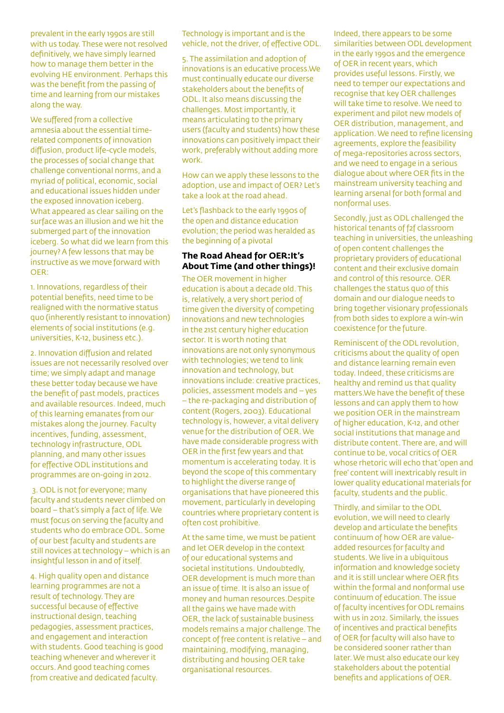prevalent in the early 1990s are still with us today. These were not resolved definitively, we have simply learned how to manage them better in the evolving HE environment. Perhaps this was the benefit from the passing of time and learning from our mistakes along the way.

We suffered from a collective amnesia about the essential timerelated components of innovation diffusion, product life-cycle models, the processes of social change that challenge conventional norms, and a myriad of political, economic, social and educational issues hidden under the exposed innovation iceberg. What appeared as clear sailing on the surface was an illusion and we hit the submerged part of the innovation iceberg. So what did we learn from this journey? A few lessons that may be instructive as we move forward with OER:

1. Innovations, regardless of their potential benefits, need time to be realigned with the normative status quo (inherently resistant to innovation) elements of social institutions (e.g. universities, K-12, business etc.).

2. Innovation diffusion and related issues are not necessarily resolved over time; we simply adapt and manage these better today because we have the benefit of past models, practices and available resources. Indeed, much of this learning emanates from our mistakes along the journey. Faculty incentives, funding, assessment, technology infrastructure, ODL planning, and many other issues for effective ODL institutions and programmes are on-going in 2012.

 3. ODL is not for everyone; many faculty and students never climbed on board – that's simply a fact of life. We must focus on serving the faculty and students who do embrace ODL. Some of our best faculty and students are still novices at technology – which is an insightful lesson in and of itself.

4. High quality open and distance learning programmes are not a result of technology. They are successful because of effective instructional design, teaching pedagogies, assessment practices, and engagement and interaction with students. Good teaching is good teaching whenever and wherever it occurs. And good teaching comes from creative and dedicated faculty.

Technology is important and is the vehicle, not the driver, of effective ODL.

5. The assimilation and adoption of innovations is an educative<process.We> must continually educate our diverse stakeholders about the benefits of ODL. It also means discussing the challenges. Most importantly, it means articulating to the primary users (faculty and students) how these innovations can positively impact their work, preferably without adding more work.

How can we apply these lessons to the adoption, use and impact of OER? Let's take a look at the road ahead.

Let's flashback to the early 1990s of the open and distance education evolution; the period was heralded as the beginning of a pivotal

#### **The Road Ahead for OER:It's About Time (and other things)!**

The OER movement in higher education is about a decade old. This is, relatively, a very short period of time given the diversity of competing innovations and new technologies in the 21st century higher education sector. It is worth noting that innovations are not only synonymous with technologies; we tend to link innovation and technology, but innovations include: creative practices, policies, assessment models and – yes – the re-packaging and distribution of content (Rogers, 2003). Educational technology is, however, a vital delivery venue for the distribution of OER. We have made considerable progress with OER in the first few years and that momentum is accelerating today. It is beyond the scope of this commentary to highlight the diverse range of organisations that have pioneered this movement, particularly in developing countries where proprietary content is often cost prohibitive.

At the same time, we must be patient and let OER develop in the context of our educational systems and societal institutions. Undoubtedly, OER development is much more than an issue of time. It is also an issue of money and human<resources.Despite> all the gains we have made with OER, the lack of sustainable business models remains a major challenge. The concept of free content is relative – and maintaining, modifying, managing, distributing and housing OER take organisational resources.

Indeed, there appears to be some similarities between ODL development in the early 1990s and the emergence of OER in recent years, which provides useful lessons. Firstly, we need to temper our expectations and recognise that key OER challenges will take time to resolve. We need to experiment and pilot new models of OER distribution, management, and application. We need to refine licensing agreements, explore the feasibility of mega-repositories across sectors, and we need to engage in a serious dialogue about where OER fits in the mainstream university teaching and learning arsenal for both formal and nonformal uses.

Secondly, just as ODL challenged the historical tenants of f2f classroom teaching in universities, the unleashing of open content challenges the proprietary providers of educational content and their exclusive domain and control of this resource. OER challenges the status quo of this domain and our dialogue needs to bring together visionary professionals from both sides to explore a win-win coexistence for the future.

Reminiscent of the ODL revolution, criticisms about the quality of open and distance learning remain even today. Indeed, these criticisms are healthy and remind us that quality <matters.We>have the benefit of these lessons and can apply them to how we position OER in the mainstream of higher education, K-12, and other social institutions that manage and distribute content. There are, and will continue to be, vocal critics of OER whose rhetoric will echo that 'open and free' content will inextricably result in lower quality educational materials for faculty, students and the public.

Thirdly, and similar to the ODL evolution, we will need to clearly develop and articulate the benefits continuum of how OER are valueadded resources for faculty and students. We live in a ubiquitous information and knowledge society and it is still unclear where OER fits within the formal and nonformal use continuum of education. The issue of faculty incentives for ODL remains with us in 2012. Similarly, the issues of incentives and practical benefits of OER for faculty will also have to be considered sooner rather than later. We must also educate our key stakeholders about the potential benefits and applications of OER.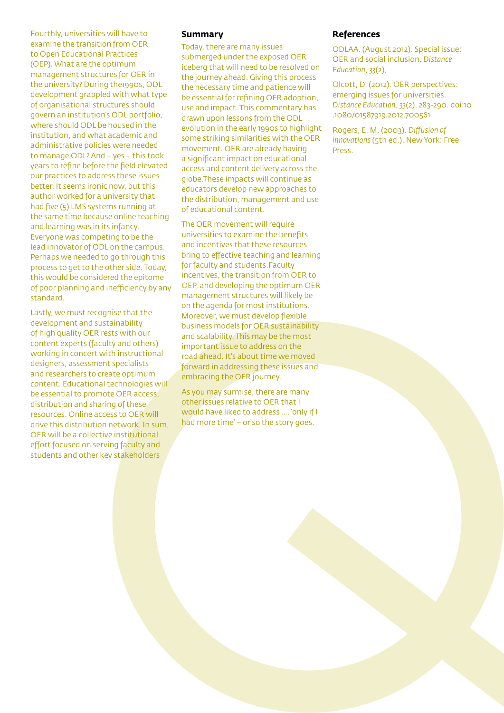Fourthly, universities will have to examine the transition from OER to Open Educational Practices (OEP). What are the optimum management structures for OER in the university? During the1990s, ODL development grappled with what type of organisational structures should govern an institution's ODL portfolio, where should ODL be housed in the institution, and what academic and administrative policies were needed to manage ODL? And – yes – this took years to refine before the field elevated our practices to address these issues better. It seems ironic now, but this author worked for a university that had five (5) LMS systems running at the same time because online teaching and learning was in its infancy. Everyone was competing to be the lead innovator of ODL on the campus. Perhaps we needed to go through this process to get to the other side. Today, this would be considered the epitome of poor planning and inefficiency by any standard.

Lastly, we must recognise that the development and sustainability of high quality OER rests with our content experts (faculty and others) working in concert with instructional designers, assessment specialists and researchers to create optimum content. Educational technologies will be essential to promote OER access, distribution and sharing of these resources. Online access to OER will drive this distribution network. In sum, OER will be a collective institutional effort focused on serving faculty and students and other key stakeholders

#### **Summary**

Today, there are many issues submerged under the exposed OER iceberg that will need to be resolved on the journey ahead. Giving this process the necessary time and patience will be essential for refining OER adoption, use and impact. This commentary has drawn upon lessons from the ODL evolution in the early 1990s to highlight some striking similarities with the OER movement. OER are already having a significant impact on educational access and content delivery across the <globe.These> impacts will continue as educators develop new approaches to the distribution, management and use of educational content.

The OER movement will require universities to examine the benefits and incentives that these resources bring to effective teaching and learning for faculty and<students.Faculty> incentives, the transition from OER to OEP, and developing the optimum OER management structures will likely be on the agenda for most [institutions.](institutions.Moreover) [Moreover](institutions.Moreover), we must develop flexible business models for OER sustainability and scalability. This may be the most important issue to address on the road ahead. It's about time we moved forward in addressing these issues and embracing the OER journey.

As you may surmise, there are many other issues relative to OER that I would have liked to address …. 'only if I had more time' – or so the story goes.

#### **References**

ODLAA. (August 2012). Special issue: OER and social inclusion. *Distance Education*, *33*(2),

Olcott, D. (2012). OER perspectives: emerging issues for universities. *Distance Education*, *33*(2), 283-290. doi:10 .1080/01587919.2012.700561

Rogers, E. M. (2003). *Diffusion of innovations* (5th ed.). New York: Free Press.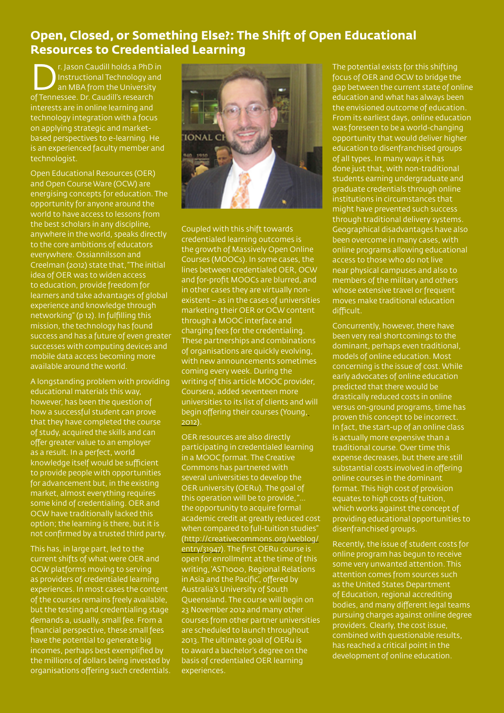## **Open, Closed, or Something Else?: The Shift of Open Educational Resources to Credentialed Learning**

**Department Caudill holds a PhD in<br>Instructional Technology and<br>San MBA from the University<br>of Tennessee, Dr. Caudill's research** Instructional Technology and an MBA from the University of Tennessee. Dr. Caudill's research interests are in online learning and technology integration with a focus on applying strategic and marketbased perspectives to e-learning. He is an experienced faculty member and technologist.

Open Educational Resources (OER) and Open Course Ware (OCW) are energising concepts for education. The opportunity for anyone around the world to have access to lessons from the best scholars in any discipline, anywhere in the world, speaks directly to the core ambitions of educators everywhere. Ossiannilsson and Creelman (2012) state that, "The initial idea of OER was to widen access to education, provide freedom for learners and take advantages of global experience and knowledge through networking" (p 12). In fulfilling this mission, the technology has found success and has a future of even greater successes with computing devices and mobile data access becoming more available around the world.

A longstanding problem with providing educational materials this way, however, has been the question of how a successful student can prove that they have completed the course of study, acquired the skills and can offer greater value to an employer as a result. In a perfect, world knowledge itself would be sufficient to provide people with opportunities for advancement but, in the existing market, almost everything requires some kind of credentialing. OER and OCW have traditionally lacked this option; the learning is there, but it is not confirmed by a trusted third party.

This has, in large part, led to the current shifts of what were OER and OCW platforms moving to serving as providers of credentialed learning experiences. In most cases the content of the courses remains freely available, but the testing and credentialing stage demands a, usually, small fee. From a financial perspective, these small fees have the potential to generate big incomes, perhaps best exemplified by the millions of dollars being invested by organisations offering such credentials.



Coupled with this shift towards credentialed learning outcomes is the growth of Massively Open Online Courses (MOOCs). In some cases, the lines between credentialed OER, OCW and for-profit MOOCs are blurred, and in other cases they are virtually nonexistent – as in the cases of universities marketing their OER or OCW content through a MOOC interface and charging fees for the credentialing. These partnerships and combinations of organisations are quickly evolving, with new announcements sometimes coming every week. During the writing of this article MOOC provider, Coursera, added seventeen more universities to its list of clients and will begin offering their courses (Young, 2012).

OER resources are also directly participating in credentialed learning in a MOOC format. The Creative Commons has partnered with several universities to develop the OER university (OERu). The goal of this operation will be to provide, "... the opportunity to acquire formal academic credit at greatly reduced cost when compared to full-tuition studies" ([http://creativecommons.org/weblog/](http://creativecommons.org/weblog/entry/31947) [entry/31947\)](http://creativecommons.org/weblog/entry/31947). The first OERu course is open for enrollment at the time of this writing, 'AST1000, Regional Relations in Asia and the Pacific', offered by Australia's University of South Queensland. The course will begin on 23 November 2012 and many other courses from other partner universities are scheduled to launch throughout 2013. The ultimate goal of OERu is to award a bachelor's degree on the basis of credentialed OER learning experiences.

The potential exists for this shifting focus of OER and OCW to bridge the gap between the current state of online education and what has always been the envisioned outcome of education. From its earliest days, online education was foreseen to be a world-changing opportunity that would deliver higher education to disenfranchised groups of all types. In many ways it has done just that, with non-traditional students earning undergraduate and graduate credentials through online institutions in circumstances that might have prevented such success through traditional delivery systems. Geographical disadvantages have also been overcome in many cases, with online programs allowing educational access to those who do not live near physical campuses and also to members of the military and others whose extensive travel or frequent moves make traditional education difficult.

Concurrently, however, there have been very real shortcomings to the dominant, perhaps even traditional, models of online education. Most concerning is the issue of cost. While early advocates of online education predicted that there would be drastically reduced costs in online versus on-ground programs, time has proven this concept to be incorrect. In fact, the start-up of an online class is actually more expensive than a traditional course. Over time this expense decreases, but there are still substantial costs involved in offering online courses in the dominant format. This high cost of provision equates to high costs of tuition. which works against the concept of providing educational opportunities to disenfranchised groups.

Recently, the issue of student costs for online program has begun to receive some very unwanted attention. This attention comes from sources such as the United States Department of Education, regional accrediting bodies, and many different legal teams pursuing charges against online degree providers. Clearly, the cost issue, combined with questionable results, has reached a critical point in the development of online education.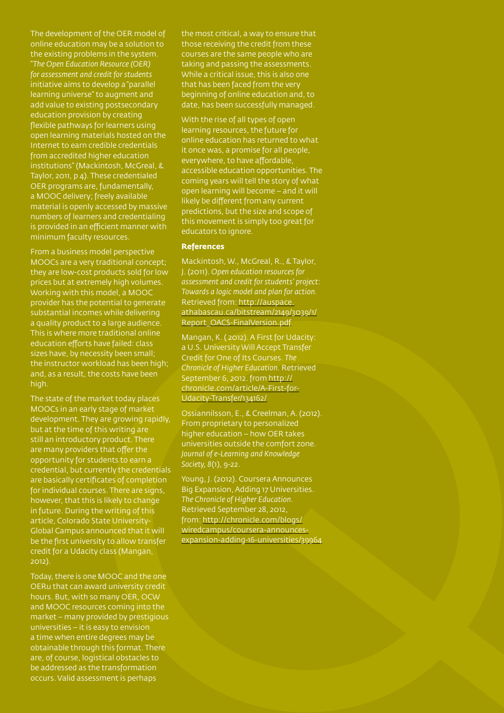The development of the OER model of online education may be a solution to the existing problems in the system. "*The Open Education Resource (OER) for assessment and credit for students*  initiative aims to develop a "parallel learning universe" to augment and add value to existing postsecondary education provision by creating flexible pathways for learners using open learning materials hosted on the Internet to earn credible credentials from accredited higher education institutions" (Mackintosh, McGreal, & Taylor, 2011, p 4). These credentialed OER programs are, fundamentally, a MOOC delivery; freely available material is openly accessed by massive numbers of learners and credentialing is provided in an efficient manner with minimum faculty resources.

From a business model perspective MOOCs are a very traditional concept; they are low-cost products sold for low prices but at extremely high volumes. Working with this model, a MOOC provider has the potential to generate substantial incomes while delivering a quality product to a large audience. This is where more traditional online education efforts have failed: class sizes have, by necessity been small; the instructor workload has been high; and, as a result, the costs have been high.

The state of the market today places MOOCs in an early stage of market development. They are growing rapidly, but at the time of this writing are still an introductory product. There are many providers that offer the opportunity for students to earn a credential, but currently the credentials are basically certificates of completion for individual courses. There are signs, however, that this is likely to change in future. During the writing of this article, Colorado State University-Global Campus announced that it will be the first university to allow transfer credit for a Udacity class (Mangan, 2012).

Today, there is one MOOC and the one OERu that can award university credit hours. But, with so many OER, OCW and MOOC resources coming into the market – many provided by prestigious universities – it is easy to envision a time when entire degrees may be obtainable through this format. There are, of course, logistical obstacles to be addressed as the transformation occurs. Valid assessment is perhaps

the most critical, a way to ensure that those receiving the credit from these courses are the same people who are taking and passing the assessments. While a critical issue, this is also one that has been faced from the very beginning of online education and, to date, has been successfully managed.

With the rise of all types of open learning resources, the future for online education has returned to what it once was, a promise for all people, everywhere, to have affordable, accessible education opportunities. The coming years will tell the story of what open learning will become – and it will likely be different from any current predictions, but the size and scope of this movement is simply too great for educators to ignore.

#### **References**

Mackintosh, W., McGreal, R., & Taylor, J. (2011). *Open education resources for assessment and credit for students' project: Towards a logic model and plan for action.*  Retrieved from: [http://auspace.](http://auspace.athabascau.ca/bitstream/2149/3039/1/Report_OACS-FinalVersion.pdf) [athabascau.ca/bitstream/2149/3039/1/](http://auspace.athabascau.ca/bitstream/2149/3039/1/Report_OACS-FinalVersion.pdf) [Report\\_OACS-FinalVersion.pdf](http://auspace.athabascau.ca/bitstream/2149/3039/1/Report_OACS-FinalVersion.pdf)

Mangan, K. ( 2012). A First for Udacity: a U.S. University Will Accept Transfer Credit for One of Its Courses. *The Chronicle of Higher Education.* Retrieved September 6, 2012. from [http://](http://chronicle.com/article/A-First-for-Udacity-Transfer/134162/) [chronicle.com/article/A-First-for-](http://chronicle.com/article/A-First-for-Udacity-Transfer/134162/)[Udacity-Transfer/134162/](http://chronicle.com/article/A-First-for-Udacity-Transfer/134162/)

Ossiannilsson, E., & Creelman, A. (2012). From proprietary to personalized higher education – how OER takes universities outside the comfort zone. *Journal of e-Learning and Knowledge Society, 8*(1), 9-22.

Young, J. (2012). Coursera Announces Big Expansion, Adding 17 Universities. *The Chronicle of Higher [Education.](Education.Retrieved)* [Retrieved](Education.Retrieved) September 28, 2012, from: [http://chronicle.com/blogs/](http://chronicle.com/blogs/wiredcampus/coursera-announces-expansion-adding-16-universities/39964) [wiredcampus/coursera-announces](http://chronicle.com/blogs/wiredcampus/coursera-announces-expansion-adding-16-universities/39964)[expansion-adding-16-universities/39964](http://chronicle.com/blogs/wiredcampus/coursera-announces-expansion-adding-16-universities/39964)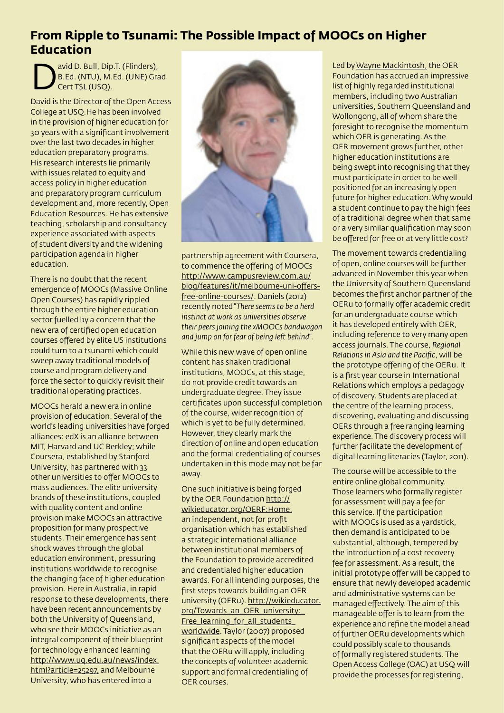## **From Ripple to Tsunami: The Possible Impact of MOOCs on Higher Education**

avid [D](B.Ed). Bull, Dip.T. (Flinders),<br>B.Ed. (NTU), M.Ed. (UNE) Grand Cert TSL (USQ). B.Ed. (NTU), M.Ed. (UNE) Grad Cert TSL (USQ).

David is the Director of the Open Access College at <USQ.He>has been involved in the provision of higher education for 30 years with a significant involvement over the last two decades in higher education preparatory programs. His research interests lie primarily with issues related to equity and access policy in higher education and preparatory program curriculum development and, more recently, Open Education Resources. He has extensive teaching, scholarship and consultancy experience associated with aspects of student diversity and the widening participation agenda in higher education.

There is no doubt that the recent emergence of MOOCs (Massive Online Open Courses) has rapidly rippled through the entire higher education sector fuelled by a concern that the new era of certified open education courses offered by elite US institutions could turn to a tsunami which could sweep away traditional models of course and program delivery and force the sector to quickly revisit their traditional operating practices.

MOOCs herald a new era in online provision of education. Several of the world's leading universities have forged alliances: edX is an alliance between MIT, Harvard and UC Berkley; while Coursera, established by Stanford University, has partnered with 33 other universities to offer MOOCs to mass audiences. The elite university brands of these institutions, coupled with quality content and online provision make MOOCs an attractive proposition for many prospective students. Their emergence has sent shock waves through the global education environment, pressuring institutions worldwide to recognise the changing face of higher education provision. Here in Australia, in rapid response to these developments, there have been recent announcements by both the University of Queensland, who see their MOOCs initiative as an integral component of their blueprint for technology enhanced learning [http://www.uq.edu.au/news/index.](http://www.uq.edu.au/news/index.html?article=25297) [html?article=25297](http://www.uq.edu.au/news/index.html?article=25297), and Melbourne University, who has entered into a



partnership agreement with Coursera, to commence the offering of MOOCs [http://www.campusreview.com.au/](http://www.campusreview.com.au/blog/features/it/melbourne-uni-offers-free-online-courses/) [blog/features/it/melbourne-uni-offers](http://www.campusreview.com.au/blog/features/it/melbourne-uni-offers-free-online-courses/)[free-online-courses/.](http://www.campusreview.com.au/blog/features/it/melbourne-uni-offers-free-online-courses/) Daniels (2012) recently noted "*There seems to be a herd instinct at work as universities observe their peers joining the xMOOCs bandwagon and jump on for fear of being left behind*".

While this new wave of open online content has shaken traditional institutions, MOOCs, at this stage, do not provide credit towards an undergraduate degree. They issue certificates upon successful completion of the course, wider recognition of which is yet to be fully determined. However, they clearly mark the direction of online and open education and the formal credentialing of courses undertaken in this mode may not be far away.

One such initiative is being forged by the OER Foundation [http://](http://wikieducator.org/OERF:Home) [wikieducator.org/OERF:Home,](http://wikieducator.org/OERF:Home) an independent, not for profit organisation which has established a strategic international alliance between institutional members of the Foundation to provide accredited and credentialed higher education awards. For all intending purposes, the first steps towards building an OER university (OERu). [http://wikieducator.](http://wikieducator.org/Towards_an_OER_university:_Free_learning_for_all_students_worldwide) [org/Towards\\_an\\_OER\\_university:\\_](http://wikieducator.org/Towards_an_OER_university:_Free_learning_for_all_students_worldwide) Free\_learning\_for\_all\_students [worldwide.](http://wikieducator.org/Towards_an_OER_university:_Free_learning_for_all_students_worldwide) Taylor (2007) proposed significant aspects of the model that the OERu will apply, including the concepts of volunteer academic support and formal credentialing of OER courses.

Led by Wayne Mackintosh, the OER Foundation has accrued an impressive list of highly regarded institutional members, including two Australian universities, Southern Queensland and Wollongong, all of whom share the foresight to recognise the momentum which OER is generating. As the OER movement grows further, other higher education institutions are being swept into recognising that they must participate in order to be well positioned for an increasingly open future for higher education. Why would a student continue to pay the high fees of a traditional degree when that same or a very similar qualification may soon be offered for free or at very little cost?

The movement towards credentialing of open, online courses will be further advanced in November this year when the University of Southern Queensland becomes the first anchor partner of the OERu to formally offer academic credit for an undergraduate course which it has developed entirely with OER, including reference to very many open access journals. The course, *Regional Relations in Asia and the Pacific*, will be the prototype offering of the OERu. It is a first year course in International Relations which employs a pedagogy of discovery. Students are placed at the centre of the learning process, discovering, evaluating and discussing OERs through a free ranging learning experience. The discovery process will further facilitate the development of digital learning literacies (Taylor, 2011).

The course will be accessible to the entire online global community. Those learners who formally register for assessment will pay a fee for this service. If the participation with MOOCs is used as a yardstick, then demand is anticipated to be substantial, although, tempered by the introduction of a cost recovery fee for assessment. As a result, the initial prototype offer will be capped to ensure that newly developed academic and administrative systems can be managed effectively. The aim of this manageable offer is to learn from the experience and refine the model ahead of further OERu developments which could possibly scale to thousands of formally registered students. The Open Access College (OAC) at USQ will provide the processes for registering,